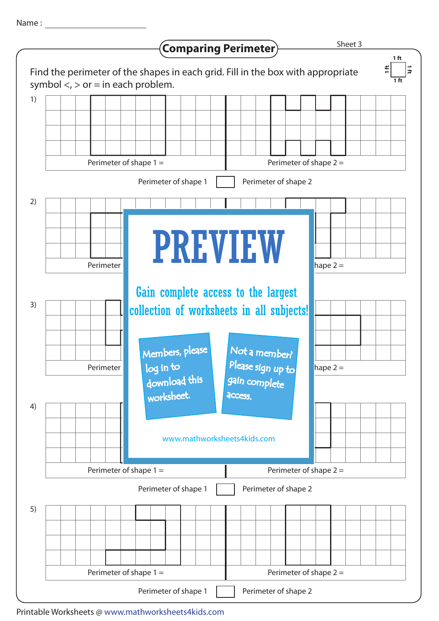Name :



Printable Worksheets @ www.mathworksheets4kids.com